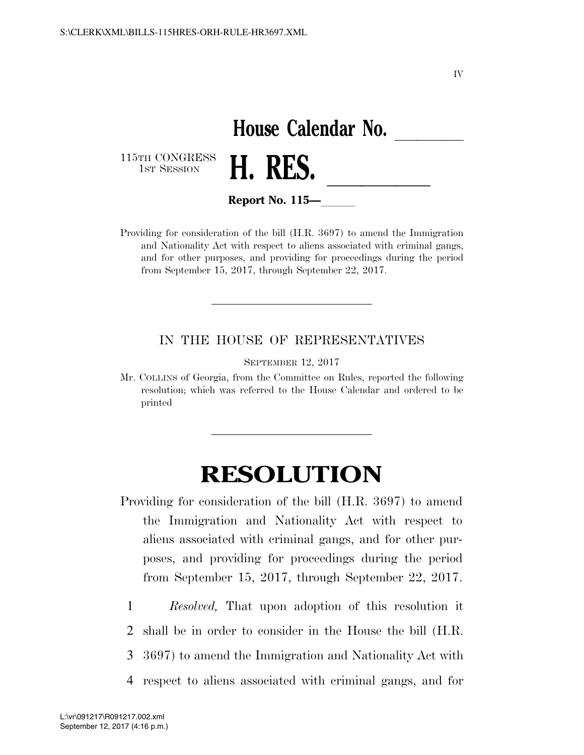IV

## House Calendar No.<br>**H. RES.**

115TH CONGRESS<br>1st Session



**Report No. 115—** 

Providing for consideration of the bill (H.R. 3697) to amend the Immigration and Nationality Act with respect to aliens associated with criminal gangs, and for other purposes, and providing for proceedings during the period from September 15, 2017, through September 22, 2017.

## IN THE HOUSE OF REPRESENTATIVES

SEPTEMBER 12, 2017

Mr. COLLINS of Georgia, from the Committee on Rules, reported the following resolution; which was referred to the House Calendar and ordered to be printed

## **RESOLUTION**

Providing for consideration of the bill (H.R. 3697) to amend the Immigration and Nationality Act with respect to aliens associated with criminal gangs, and for other purposes, and providing for proceedings during the period from September 15, 2017, through September 22, 2017.

1 *Resolved,* That upon adoption of this resolution it

2 shall be in order to consider in the House the bill (H.R.

3 3697) to amend the Immigration and Nationality Act with

4 respect to aliens associated with criminal gangs, and for